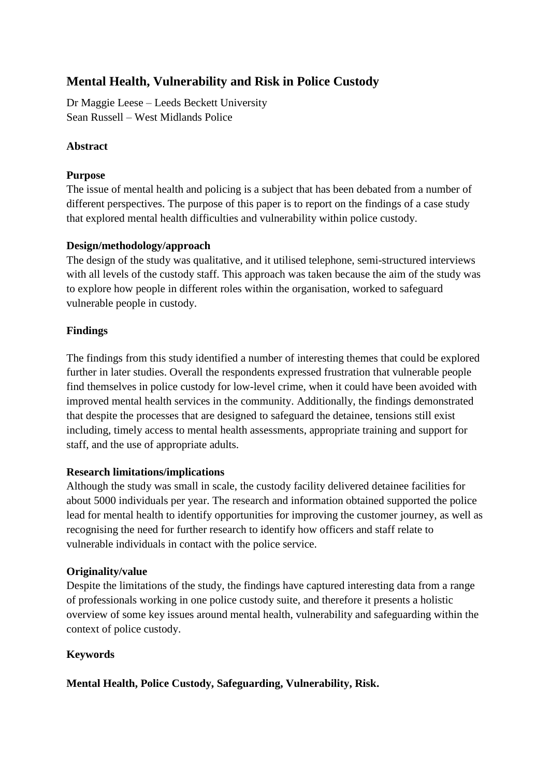# **Mental Health, Vulnerability and Risk in Police Custody**

Dr Maggie Leese – Leeds Beckett University Sean Russell – West Midlands Police

## **Abstract**

## **Purpose**

The issue of mental health and policing is a subject that has been debated from a number of different perspectives. The purpose of this paper is to report on the findings of a case study that explored mental health difficulties and vulnerability within police custody.

## **Design/methodology/approach**

The design of the study was qualitative, and it utilised telephone, semi-structured interviews with all levels of the custody staff. This approach was taken because the aim of the study was to explore how people in different roles within the organisation, worked to safeguard vulnerable people in custody.

## **Findings**

The findings from this study identified a number of interesting themes that could be explored further in later studies. Overall the respondents expressed frustration that vulnerable people find themselves in police custody for low-level crime, when it could have been avoided with improved mental health services in the community. Additionally, the findings demonstrated that despite the processes that are designed to safeguard the detainee, tensions still exist including, timely access to mental health assessments, appropriate training and support for staff, and the use of appropriate adults.

## **Research limitations/implications**

Although the study was small in scale, the custody facility delivered detainee facilities for about 5000 individuals per year. The research and information obtained supported the police lead for mental health to identify opportunities for improving the customer journey, as well as recognising the need for further research to identify how officers and staff relate to vulnerable individuals in contact with the police service.

## **Originality/value**

Despite the limitations of the study, the findings have captured interesting data from a range of professionals working in one police custody suite, and therefore it presents a holistic overview of some key issues around mental health, vulnerability and safeguarding within the context of police custody.

## **Keywords**

## **Mental Health, Police Custody, Safeguarding, Vulnerability, Risk.**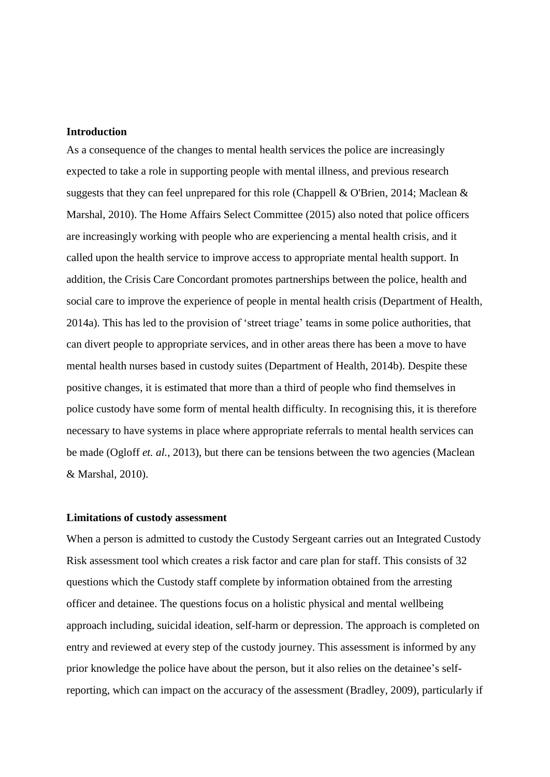#### **Introduction**

As a consequence of the changes to mental health services the police are increasingly expected to take a role in supporting people with mental illness, and previous research suggests that they can feel unprepared for this role (Chappell & O'Brien, 2014; Maclean & Marshal, 2010). The Home Affairs Select Committee (2015) also noted that police officers are increasingly working with people who are experiencing a mental health crisis, and it called upon the health service to improve access to appropriate mental health support. In addition, the Crisis Care Concordant promotes partnerships between the police, health and social care to improve the experience of people in mental health crisis (Department of Health, 2014a). This has led to the provision of 'street triage' teams in some police authorities, that can divert people to appropriate services, and in other areas there has been a move to have mental health nurses based in custody suites (Department of Health, 2014b). Despite these positive changes, it is estimated that more than a third of people who find themselves in police custody have some form of mental health difficulty. In recognising this, it is therefore necessary to have systems in place where appropriate referrals to mental health services can be made (Ogloff *et. al.,* 2013), but there can be tensions between the two agencies (Maclean & Marshal, 2010).

#### **Limitations of custody assessment**

When a person is admitted to custody the Custody Sergeant carries out an Integrated Custody Risk assessment tool which creates a risk factor and care plan for staff. This consists of 32 questions which the Custody staff complete by information obtained from the arresting officer and detainee. The questions focus on a holistic physical and mental wellbeing approach including, suicidal ideation, self-harm or depression. The approach is completed on entry and reviewed at every step of the custody journey. This assessment is informed by any prior knowledge the police have about the person, but it also relies on the detainee's selfreporting, which can impact on the accuracy of the assessment (Bradley, 2009), particularly if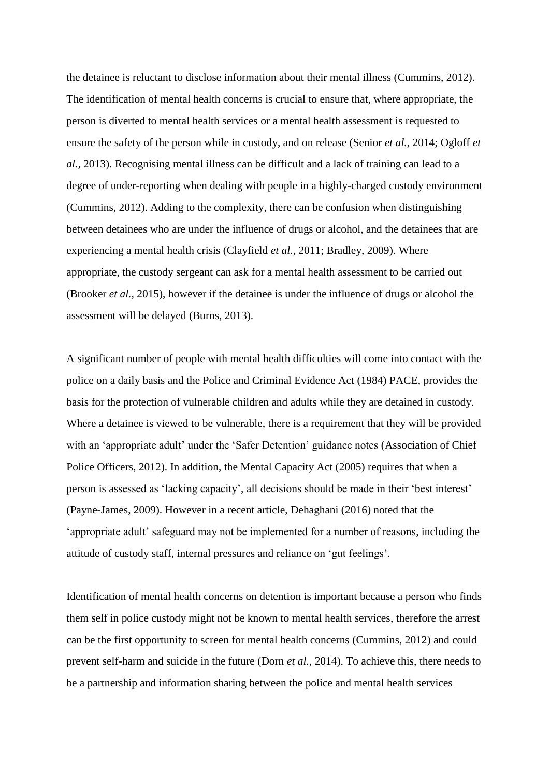the detainee is reluctant to disclose information about their mental illness (Cummins, 2012). The identification of mental health concerns is crucial to ensure that, where appropriate, the person is diverted to mental health services or a mental health assessment is requested to ensure the safety of the person while in custody, and on release (Senior *et al.,* 2014; Ogloff *et al.,* 2013). Recognising mental illness can be difficult and a lack of training can lead to a degree of under-reporting when dealing with people in a highly-charged custody environment (Cummins, 2012). Adding to the complexity, there can be confusion when distinguishing between detainees who are under the influence of drugs or alcohol, and the detainees that are experiencing a mental health crisis (Clayfield *et al.,* 2011; Bradley, 2009). Where appropriate, the custody sergeant can ask for a mental health assessment to be carried out (Brooker *et al.,* 2015), however if the detainee is under the influence of drugs or alcohol the assessment will be delayed (Burns, 2013).

A significant number of people with mental health difficulties will come into contact with the police on a daily basis and the Police and Criminal Evidence Act (1984) PACE, provides the basis for the protection of vulnerable children and adults while they are detained in custody. Where a detainee is viewed to be vulnerable, there is a requirement that they will be provided with an 'appropriate adult' under the 'Safer Detention' guidance notes (Association of Chief Police Officers, 2012). In addition, the Mental Capacity Act (2005) requires that when a person is assessed as 'lacking capacity', all decisions should be made in their 'best interest' (Payne-James, 2009). However in a recent article, Dehaghani (2016) noted that the 'appropriate adult' safeguard may not be implemented for a number of reasons, including the attitude of custody staff, internal pressures and reliance on 'gut feelings'.

Identification of mental health concerns on detention is important because a person who finds them self in police custody might not be known to mental health services, therefore the arrest can be the first opportunity to screen for mental health concerns (Cummins, 2012) and could prevent self-harm and suicide in the future (Dorn *et al.,* 2014). To achieve this, there needs to be a partnership and information sharing between the police and mental health services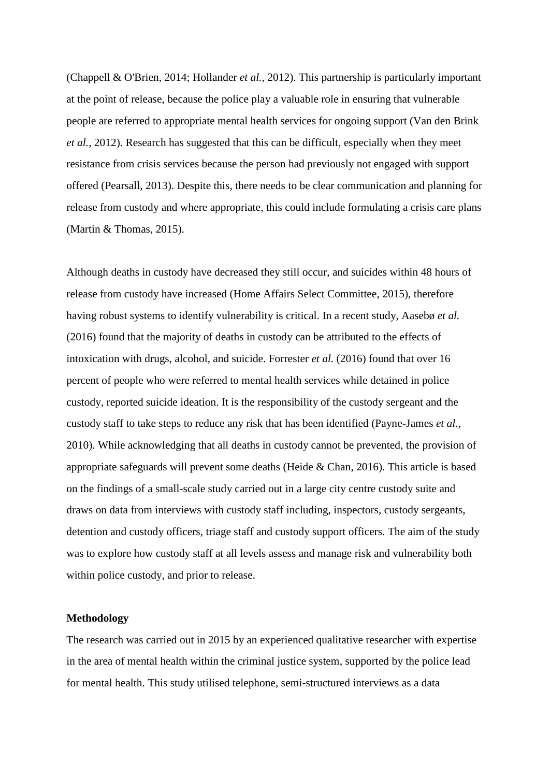(Chappell & O'Brien, 2014; Hollander *et al.,* 2012). This partnership is particularly important at the point of release, because the police play a valuable role in ensuring that vulnerable people are referred to appropriate mental health services for ongoing support (Van den Brink *et al.,* 2012). Research has suggested that this can be difficult, especially when they meet resistance from crisis services because the person had previously not engaged with support offered (Pearsall, 2013). Despite this, there needs to be clear communication and planning for release from custody and where appropriate, this could include formulating a crisis care plans (Martin & Thomas, 2015).

Although deaths in custody have decreased they still occur, and suicides within 48 hours of release from custody have increased (Home Affairs Select Committee, 2015), therefore having robust systems to identify vulnerability is critical. In a recent study, Aasebø *et al.* (2016) found that the majority of deaths in custody can be attributed to the effects of intoxication with drugs, alcohol, and suicide. Forrester *et al.* (2016) found that over 16 percent of people who were referred to mental health services while detained in police custody, reported suicide ideation. It is the responsibility of the custody sergeant and the custody staff to take steps to reduce any risk that has been identified (Payne-James *et al.,* 2010). While acknowledging that all deaths in custody cannot be prevented, the provision of appropriate safeguards will prevent some deaths (Heide & Chan, 2016). This article is based on the findings of a small-scale study carried out in a large city centre custody suite and draws on data from interviews with custody staff including, inspectors, custody sergeants, detention and custody officers, triage staff and custody support officers. The aim of the study was to explore how custody staff at all levels assess and manage risk and vulnerability both within police custody, and prior to release.

#### **Methodology**

The research was carried out in 2015 by an experienced qualitative researcher with expertise in the area of mental health within the criminal justice system, supported by the police lead for mental health. This study utilised telephone, semi-structured interviews as a data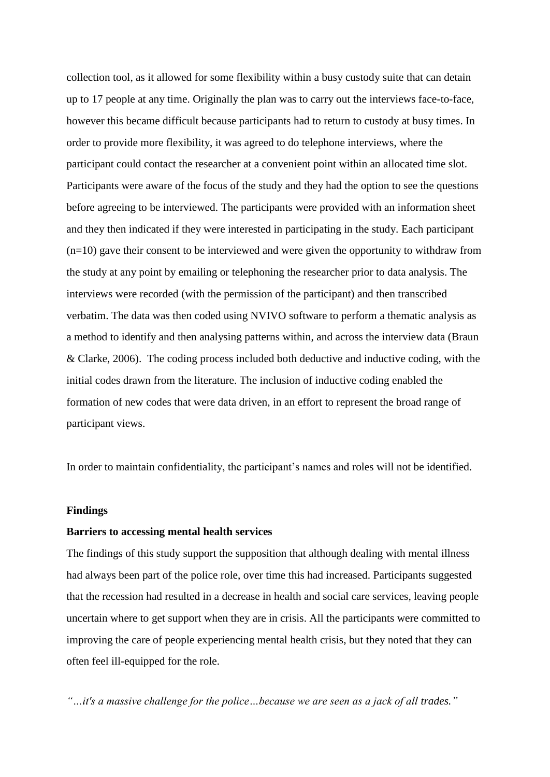collection tool, as it allowed for some flexibility within a busy custody suite that can detain up to 17 people at any time. Originally the plan was to carry out the interviews face-to-face, however this became difficult because participants had to return to custody at busy times. In order to provide more flexibility, it was agreed to do telephone interviews, where the participant could contact the researcher at a convenient point within an allocated time slot. Participants were aware of the focus of the study and they had the option to see the questions before agreeing to be interviewed. The participants were provided with an information sheet and they then indicated if they were interested in participating in the study. Each participant (n=10) gave their consent to be interviewed and were given the opportunity to withdraw from the study at any point by emailing or telephoning the researcher prior to data analysis. The interviews were recorded (with the permission of the participant) and then transcribed verbatim. The data was then coded using NVIVO software to perform a thematic analysis as a method to identify and then analysing patterns within, and across the interview data (Braun & Clarke, 2006). The coding process included both deductive and inductive coding, with the initial codes drawn from the literature. The inclusion of inductive coding enabled the formation of new codes that were data driven, in an effort to represent the broad range of participant views.

In order to maintain confidentiality, the participant's names and roles will not be identified.

#### **Findings**

#### **Barriers to accessing mental health services**

The findings of this study support the supposition that although dealing with mental illness had always been part of the police role, over time this had increased. Participants suggested that the recession had resulted in a decrease in health and social care services, leaving people uncertain where to get support when they are in crisis. All the participants were committed to improving the care of people experiencing mental health crisis, but they noted that they can often feel ill-equipped for the role.

*"…it's a massive challenge for the police…because we are seen as a jack of all trades."*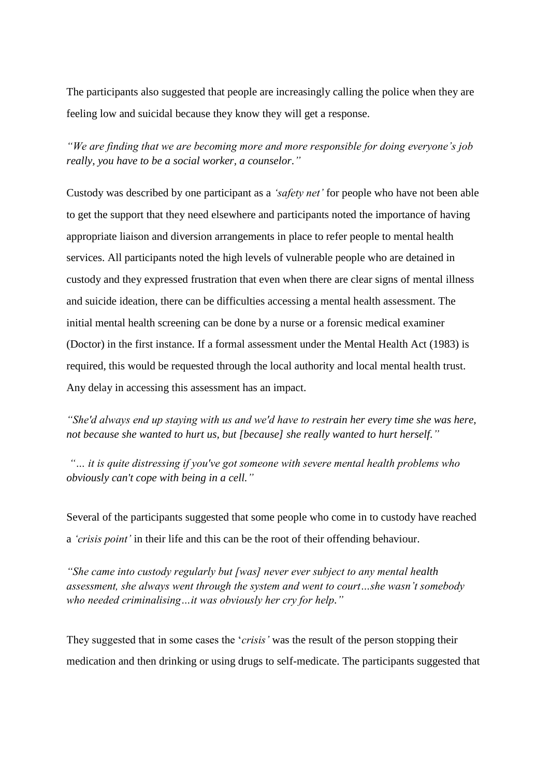The participants also suggested that people are increasingly calling the police when they are feeling low and suicidal because they know they will get a response.

*"We are finding that we are becoming more and more responsible for doing everyone's job really, you have to be a social worker, a counselor."*

Custody was described by one participant as a *'safety net'* for people who have not been able to get the support that they need elsewhere and participants noted the importance of having appropriate liaison and diversion arrangements in place to refer people to mental health services. All participants noted the high levels of vulnerable people who are detained in custody and they expressed frustration that even when there are clear signs of mental illness and suicide ideation, there can be difficulties accessing a mental health assessment. The initial mental health screening can be done by a nurse or a forensic medical examiner (Doctor) in the first instance. If a formal assessment under the Mental Health Act (1983) is required, this would be requested through the local authority and local mental health trust. Any delay in accessing this assessment has an impact.

*"She'd always end up staying with us and we'd have to restrain her every time she was here, not because she wanted to hurt us, but [because] she really wanted to hurt herself."*

*"… it is quite distressing if you've got someone with severe mental health problems who obviously can't cope with being in a cell."*

Several of the participants suggested that some people who come in to custody have reached a *'crisis point'* in their life and this can be the root of their offending behaviour.

*"She came into custody regularly but [was] never ever subject to any mental health assessment, she always went through the system and went to court…she wasn't somebody who needed criminalising…it was obviously her cry for help."*

They suggested that in some cases the '*crisis'* was the result of the person stopping their medication and then drinking or using drugs to self-medicate. The participants suggested that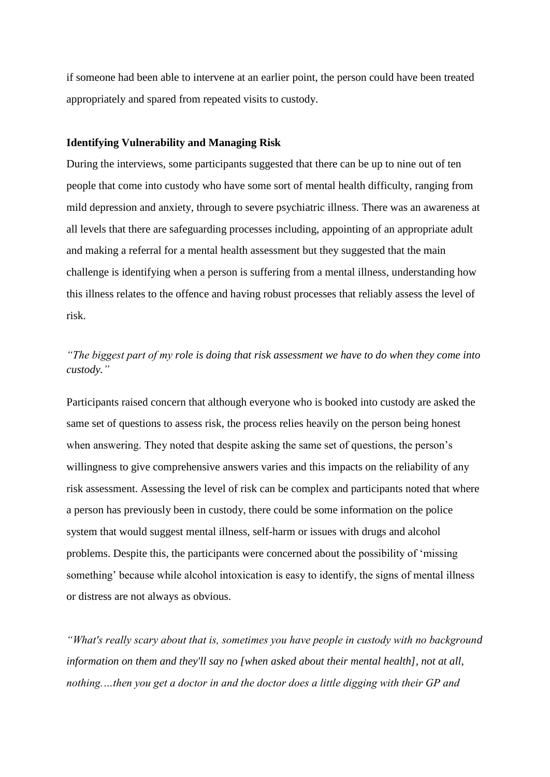if someone had been able to intervene at an earlier point, the person could have been treated appropriately and spared from repeated visits to custody.

#### **Identifying Vulnerability and Managing Risk**

During the interviews, some participants suggested that there can be up to nine out of ten people that come into custody who have some sort of mental health difficulty, ranging from mild depression and anxiety, through to severe psychiatric illness. There was an awareness at all levels that there are safeguarding processes including, appointing of an appropriate adult and making a referral for a mental health assessment but they suggested that the main challenge is identifying when a person is suffering from a mental illness, understanding how this illness relates to the offence and having robust processes that reliably assess the level of risk.

## *"The biggest part of my role is doing that risk assessment we have to do when they come into custody."*

Participants raised concern that although everyone who is booked into custody are asked the same set of questions to assess risk, the process relies heavily on the person being honest when answering. They noted that despite asking the same set of questions, the person's willingness to give comprehensive answers varies and this impacts on the reliability of any risk assessment. Assessing the level of risk can be complex and participants noted that where a person has previously been in custody, there could be some information on the police system that would suggest mental illness, self-harm or issues with drugs and alcohol problems. Despite this, the participants were concerned about the possibility of 'missing something' because while alcohol intoxication is easy to identify, the signs of mental illness or distress are not always as obvious.

*"What's really scary about that is, sometimes you have people in custody with no background information on them and they'll say no [when asked about their mental health], not at all, nothing.…then you get a doctor in and the doctor does a little digging with their GP and*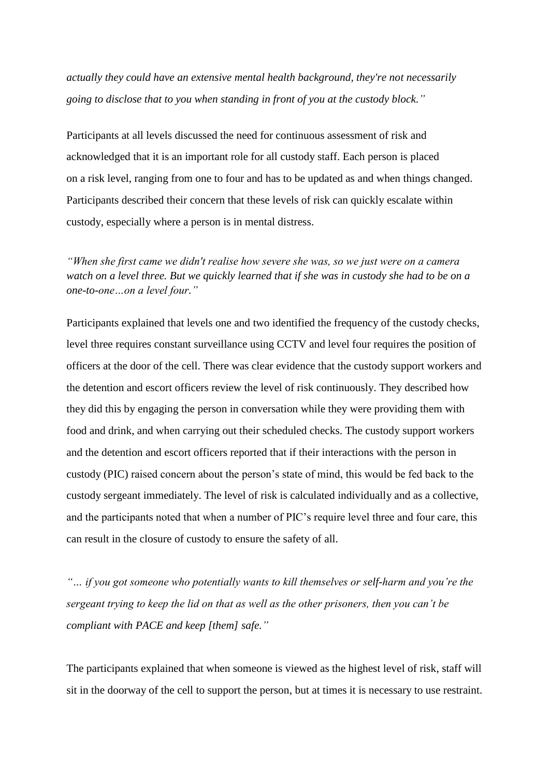*actually they could have an extensive mental health background, they're not necessarily going to disclose that to you when standing in front of you at the custody block."*

Participants at all levels discussed the need for continuous assessment of risk and acknowledged that it is an important role for all custody staff. Each person is placed on a risk level, ranging from one to four and has to be updated as and when things changed. Participants described their concern that these levels of risk can quickly escalate within custody, especially where a person is in mental distress.

*"When she first came we didn't realise how severe she was, so we just were on a camera watch on a level three. But we quickly learned that if she was in custody she had to be on a one-to-one…on a level four."*

Participants explained that levels one and two identified the frequency of the custody checks, level three requires constant surveillance using CCTV and level four requires the position of officers at the door of the cell. There was clear evidence that the custody support workers and the detention and escort officers review the level of risk continuously. They described how they did this by engaging the person in conversation while they were providing them with food and drink, and when carrying out their scheduled checks. The custody support workers and the detention and escort officers reported that if their interactions with the person in custody (PIC) raised concern about the person's state of mind, this would be fed back to the custody sergeant immediately. The level of risk is calculated individually and as a collective, and the participants noted that when a number of PIC's require level three and four care, this can result in the closure of custody to ensure the safety of all.

*"… if you got someone who potentially wants to kill themselves or self-harm and you're the sergeant trying to keep the lid on that as well as the other prisoners, then you can't be compliant with PACE and keep [them] safe."*

The participants explained that when someone is viewed as the highest level of risk, staff will sit in the doorway of the cell to support the person, but at times it is necessary to use restraint.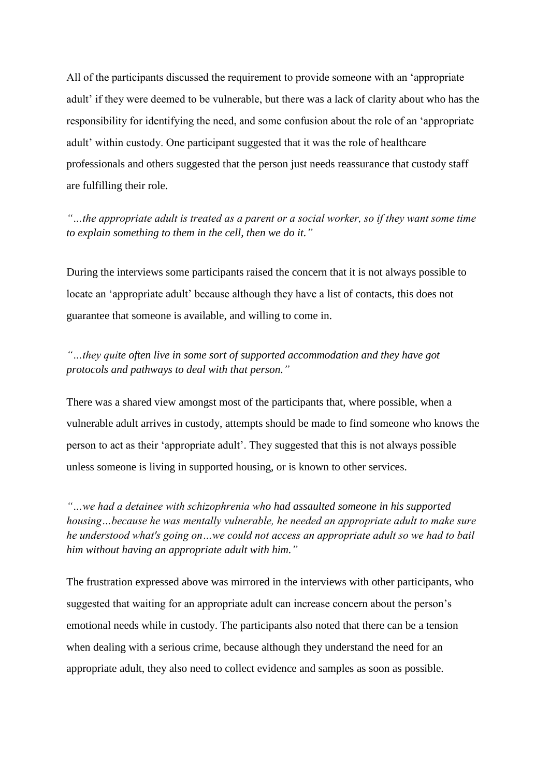All of the participants discussed the requirement to provide someone with an 'appropriate adult' if they were deemed to be vulnerable, but there was a lack of clarity about who has the responsibility for identifying the need, and some confusion about the role of an 'appropriate adult' within custody. One participant suggested that it was the role of healthcare professionals and others suggested that the person just needs reassurance that custody staff are fulfilling their role.

*"…the appropriate adult is treated as a parent or a social worker, so if they want some time to explain something to them in the cell, then we do it."*

During the interviews some participants raised the concern that it is not always possible to locate an 'appropriate adult' because although they have a list of contacts, this does not guarantee that someone is available, and willing to come in.

## *"…they quite often live in some sort of supported accommodation and they have got protocols and pathways to deal with that person."*

There was a shared view amongst most of the participants that, where possible, when a vulnerable adult arrives in custody, attempts should be made to find someone who knows the person to act as their 'appropriate adult'. They suggested that this is not always possible unless someone is living in supported housing, or is known to other services.

*"…we had a detainee with schizophrenia who had assaulted someone in his supported housing…because he was mentally vulnerable, he needed an appropriate adult to make sure he understood what's going on…we could not access an appropriate adult so we had to bail him without having an appropriate adult with him."*

The frustration expressed above was mirrored in the interviews with other participants, who suggested that waiting for an appropriate adult can increase concern about the person's emotional needs while in custody. The participants also noted that there can be a tension when dealing with a serious crime, because although they understand the need for an appropriate adult, they also need to collect evidence and samples as soon as possible.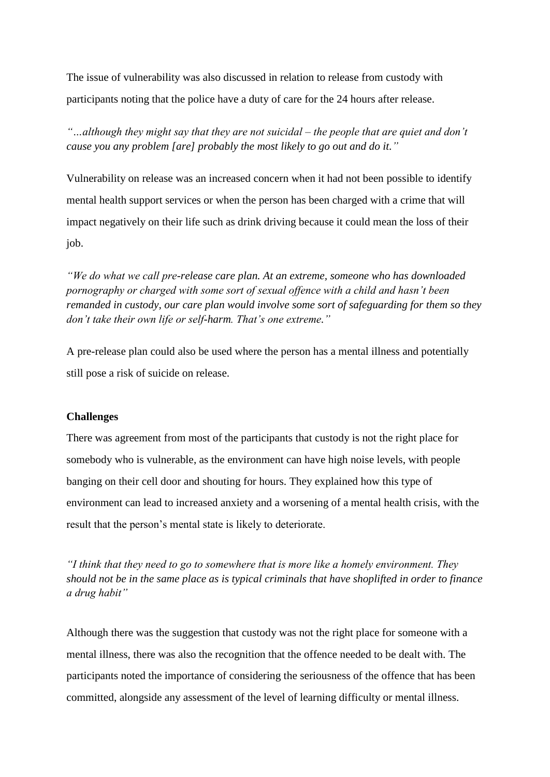The issue of vulnerability was also discussed in relation to release from custody with participants noting that the police have a duty of care for the 24 hours after release.

*"…although they might say that they are not suicidal – the people that are quiet and don't cause you any problem [are] probably the most likely to go out and do it."*

Vulnerability on release was an increased concern when it had not been possible to identify mental health support services or when the person has been charged with a crime that will impact negatively on their life such as drink driving because it could mean the loss of their job.

*"We do what we call pre-release care plan. At an extreme, someone who has downloaded pornography or charged with some sort of sexual offence with a child and hasn't been remanded in custody, our care plan would involve some sort of safeguarding for them so they don't take their own life or self-harm. That's one extreme."*

A pre-release plan could also be used where the person has a mental illness and potentially still pose a risk of suicide on release.

#### **Challenges**

There was agreement from most of the participants that custody is not the right place for somebody who is vulnerable, as the environment can have high noise levels, with people banging on their cell door and shouting for hours. They explained how this type of environment can lead to increased anxiety and a worsening of a mental health crisis, with the result that the person's mental state is likely to deteriorate.

*"I think that they need to go to somewhere that is more like a homely environment. They should not be in the same place as is typical criminals that have shoplifted in order to finance a drug habit"*

Although there was the suggestion that custody was not the right place for someone with a mental illness, there was also the recognition that the offence needed to be dealt with. The participants noted the importance of considering the seriousness of the offence that has been committed, alongside any assessment of the level of learning difficulty or mental illness.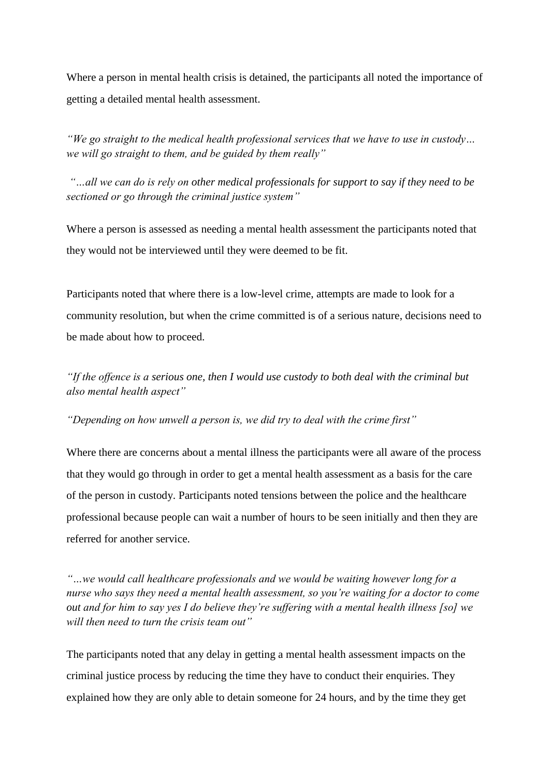Where a person in mental health crisis is detained, the participants all noted the importance of getting a detailed mental health assessment.

*"We go straight to the medical health professional services that we have to use in custody… we will go straight to them, and be guided by them really"*

*"…all we can do is rely on other medical professionals for support to say if they need to be sectioned or go through the criminal justice system"*

Where a person is assessed as needing a mental health assessment the participants noted that they would not be interviewed until they were deemed to be fit.

Participants noted that where there is a low-level crime, attempts are made to look for a community resolution, but when the crime committed is of a serious nature, decisions need to be made about how to proceed.

*"If the offence is a serious one, then I would use custody to both deal with the criminal but also mental health aspect"*

*"Depending on how unwell a person is, we did try to deal with the crime first"*

Where there are concerns about a mental illness the participants were all aware of the process that they would go through in order to get a mental health assessment as a basis for the care of the person in custody. Participants noted tensions between the police and the healthcare professional because people can wait a number of hours to be seen initially and then they are referred for another service.

*"…we would call healthcare professionals and we would be waiting however long for a nurse who says they need a mental health assessment, so you're waiting for a doctor to come out and for him to say yes I do believe they're suffering with a mental health illness [so] we will then need to turn the crisis team out"*

The participants noted that any delay in getting a mental health assessment impacts on the criminal justice process by reducing the time they have to conduct their enquiries. They explained how they are only able to detain someone for 24 hours, and by the time they get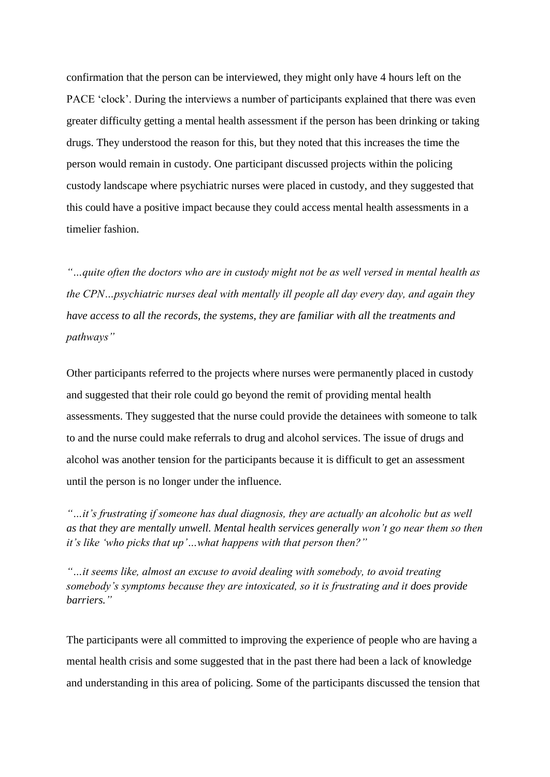confirmation that the person can be interviewed, they might only have 4 hours left on the PACE 'clock'. During the interviews a number of participants explained that there was even greater difficulty getting a mental health assessment if the person has been drinking or taking drugs. They understood the reason for this, but they noted that this increases the time the person would remain in custody. One participant discussed projects within the policing custody landscape where psychiatric nurses were placed in custody, and they suggested that this could have a positive impact because they could access mental health assessments in a timelier fashion.

*"…quite often the doctors who are in custody might not be as well versed in mental health as the CPN…psychiatric nurses deal with mentally ill people all day every day, and again they have access to all the records, the systems, they are familiar with all the treatments and pathways"*

Other participants referred to the projects where nurses were permanently placed in custody and suggested that their role could go beyond the remit of providing mental health assessments. They suggested that the nurse could provide the detainees with someone to talk to and the nurse could make referrals to drug and alcohol services. The issue of drugs and alcohol was another tension for the participants because it is difficult to get an assessment until the person is no longer under the influence.

*"…it's frustrating if someone has dual diagnosis, they are actually an alcoholic but as well as that they are mentally unwell. Mental health services generally won't go near them so then it's like 'who picks that up'…what happens with that person then?"*

*"…it seems like, almost an excuse to avoid dealing with somebody, to avoid treating somebody's symptoms because they are intoxicated, so it is frustrating and it does provide barriers."*

The participants were all committed to improving the experience of people who are having a mental health crisis and some suggested that in the past there had been a lack of knowledge and understanding in this area of policing. Some of the participants discussed the tension that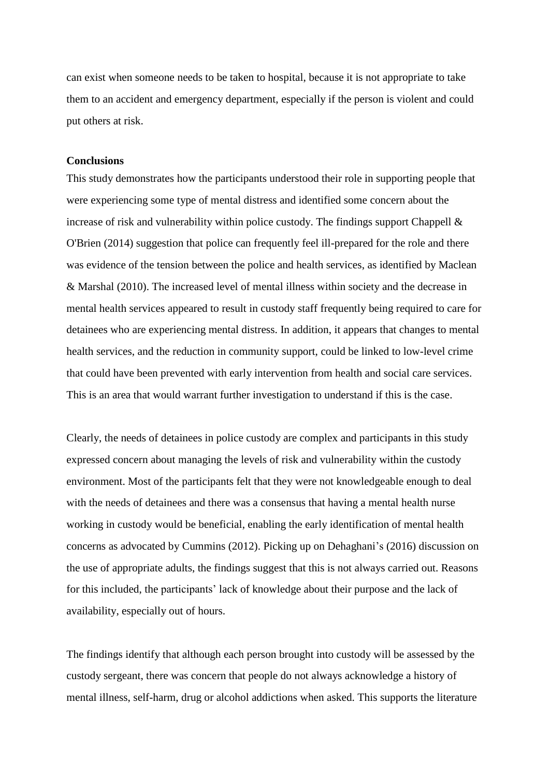can exist when someone needs to be taken to hospital, because it is not appropriate to take them to an accident and emergency department, especially if the person is violent and could put others at risk.

#### **Conclusions**

This study demonstrates how the participants understood their role in supporting people that were experiencing some type of mental distress and identified some concern about the increase of risk and vulnerability within police custody. The findings support Chappell  $\&$ O'Brien (2014) suggestion that police can frequently feel ill-prepared for the role and there was evidence of the tension between the police and health services, as identified by Maclean & Marshal (2010). The increased level of mental illness within society and the decrease in mental health services appeared to result in custody staff frequently being required to care for detainees who are experiencing mental distress. In addition, it appears that changes to mental health services, and the reduction in community support, could be linked to low-level crime that could have been prevented with early intervention from health and social care services. This is an area that would warrant further investigation to understand if this is the case.

Clearly, the needs of detainees in police custody are complex and participants in this study expressed concern about managing the levels of risk and vulnerability within the custody environment. Most of the participants felt that they were not knowledgeable enough to deal with the needs of detainees and there was a consensus that having a mental health nurse working in custody would be beneficial, enabling the early identification of mental health concerns as advocated by Cummins (2012). Picking up on Dehaghani's (2016) discussion on the use of appropriate adults, the findings suggest that this is not always carried out. Reasons for this included, the participants' lack of knowledge about their purpose and the lack of availability, especially out of hours.

The findings identify that although each person brought into custody will be assessed by the custody sergeant, there was concern that people do not always acknowledge a history of mental illness, self-harm, drug or alcohol addictions when asked. This supports the literature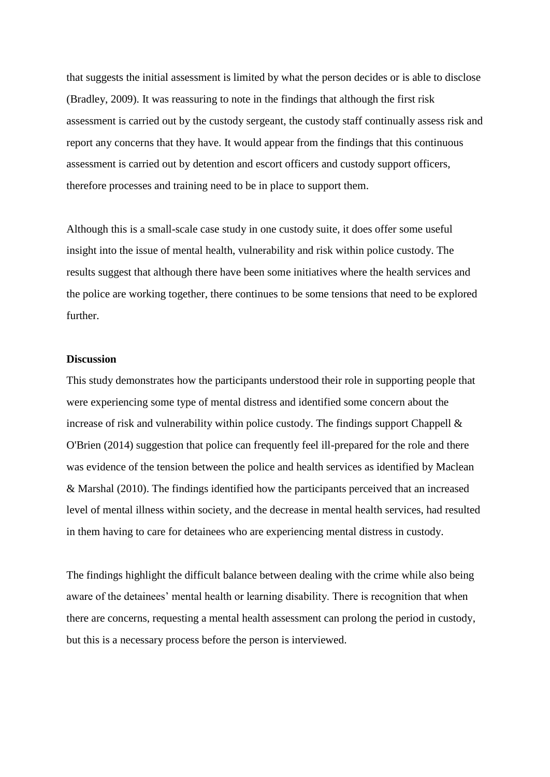that suggests the initial assessment is limited by what the person decides or is able to disclose (Bradley, 2009). It was reassuring to note in the findings that although the first risk assessment is carried out by the custody sergeant, the custody staff continually assess risk and report any concerns that they have. It would appear from the findings that this continuous assessment is carried out by detention and escort officers and custody support officers, therefore processes and training need to be in place to support them.

Although this is a small-scale case study in one custody suite, it does offer some useful insight into the issue of mental health, vulnerability and risk within police custody. The results suggest that although there have been some initiatives where the health services and the police are working together, there continues to be some tensions that need to be explored further.

#### **Discussion**

This study demonstrates how the participants understood their role in supporting people that were experiencing some type of mental distress and identified some concern about the increase of risk and vulnerability within police custody. The findings support Chappell  $\&$ O'Brien (2014) suggestion that police can frequently feel ill-prepared for the role and there was evidence of the tension between the police and health services as identified by Maclean & Marshal (2010). The findings identified how the participants perceived that an increased level of mental illness within society, and the decrease in mental health services, had resulted in them having to care for detainees who are experiencing mental distress in custody.

The findings highlight the difficult balance between dealing with the crime while also being aware of the detainees' mental health or learning disability. There is recognition that when there are concerns, requesting a mental health assessment can prolong the period in custody, but this is a necessary process before the person is interviewed.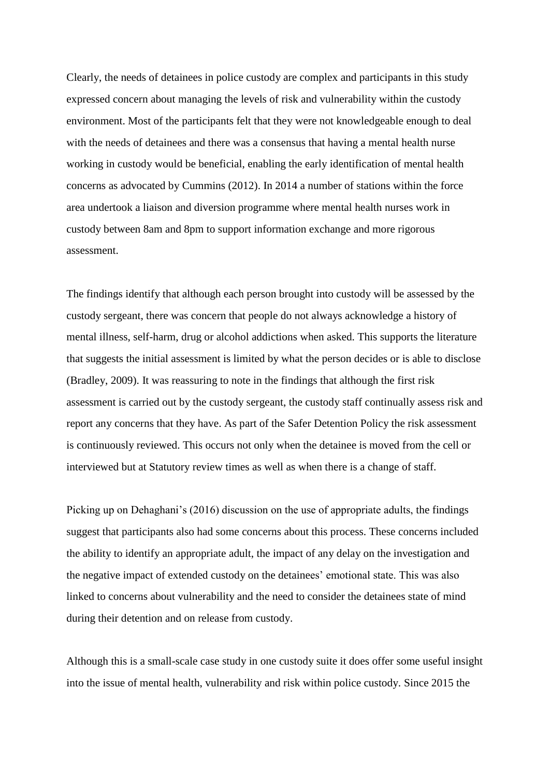Clearly, the needs of detainees in police custody are complex and participants in this study expressed concern about managing the levels of risk and vulnerability within the custody environment. Most of the participants felt that they were not knowledgeable enough to deal with the needs of detainees and there was a consensus that having a mental health nurse working in custody would be beneficial, enabling the early identification of mental health concerns as advocated by Cummins (2012). In 2014 a number of stations within the force area undertook a liaison and diversion programme where mental health nurses work in custody between 8am and 8pm to support information exchange and more rigorous assessment.

The findings identify that although each person brought into custody will be assessed by the custody sergeant, there was concern that people do not always acknowledge a history of mental illness, self-harm, drug or alcohol addictions when asked. This supports the literature that suggests the initial assessment is limited by what the person decides or is able to disclose (Bradley, 2009). It was reassuring to note in the findings that although the first risk assessment is carried out by the custody sergeant, the custody staff continually assess risk and report any concerns that they have. As part of the Safer Detention Policy the risk assessment is continuously reviewed. This occurs not only when the detainee is moved from the cell or interviewed but at Statutory review times as well as when there is a change of staff.

Picking up on Dehaghani's (2016) discussion on the use of appropriate adults, the findings suggest that participants also had some concerns about this process. These concerns included the ability to identify an appropriate adult, the impact of any delay on the investigation and the negative impact of extended custody on the detainees' emotional state. This was also linked to concerns about vulnerability and the need to consider the detainees state of mind during their detention and on release from custody.

Although this is a small-scale case study in one custody suite it does offer some useful insight into the issue of mental health, vulnerability and risk within police custody. Since 2015 the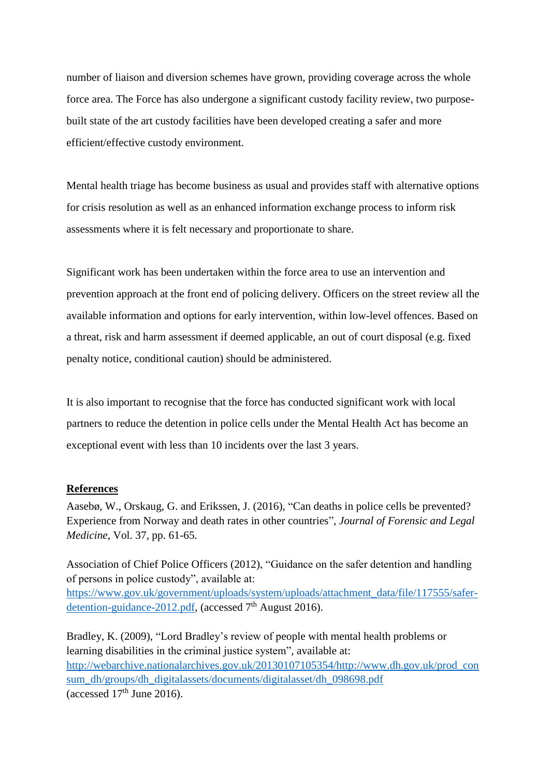number of liaison and diversion schemes have grown, providing coverage across the whole force area. The Force has also undergone a significant custody facility review, two purposebuilt state of the art custody facilities have been developed creating a safer and more efficient/effective custody environment.

Mental health triage has become business as usual and provides staff with alternative options for crisis resolution as well as an enhanced information exchange process to inform risk assessments where it is felt necessary and proportionate to share.

Significant work has been undertaken within the force area to use an intervention and prevention approach at the front end of policing delivery. Officers on the street review all the available information and options for early intervention, within low-level offences. Based on a threat, risk and harm assessment if deemed applicable, an out of court disposal (e.g. fixed penalty notice, conditional caution) should be administered.

It is also important to recognise that the force has conducted significant work with local partners to reduce the detention in police cells under the Mental Health Act has become an exceptional event with less than 10 incidents over the last 3 years.

## **References**

Aasebø, W., Orskaug, G. and Erikssen, J. (2016), "Can deaths in police cells be prevented? Experience from Norway and death rates in other countries", *Journal of Forensic and Legal Medicine*, Vol. 37, pp. 61-65.

Association of Chief Police Officers (2012), "Guidance on the safer detention and handling of persons in police custody", available at: [https://www.gov.uk/government/uploads/system/uploads/attachment\\_data/file/117555/safer](https://www.gov.uk/government/uploads/system/uploads/attachment_data/file/117555/safer-detention-guidance-2012.pdf)[detention-guidance-2012.pdf,](https://www.gov.uk/government/uploads/system/uploads/attachment_data/file/117555/safer-detention-guidance-2012.pdf) (accessed 7<sup>th</sup> August 2016).

Bradley, K. (2009), "Lord Bradley's review of people with mental health problems or learning disabilities in the criminal justice system", available at: [http://webarchive.nationalarchives.gov.uk/20130107105354/http://www.dh.gov.uk/prod\\_con](http://webarchive.nationalarchives.gov.uk/20130107105354/http:/www.dh.gov.uk/prod_consum_dh/groups/dh_digitalassets/documents/digitalasset/dh_098698.pdf) [sum\\_dh/groups/dh\\_digitalassets/documents/digitalasset/dh\\_098698.pdf](http://webarchive.nationalarchives.gov.uk/20130107105354/http:/www.dh.gov.uk/prod_consum_dh/groups/dh_digitalassets/documents/digitalasset/dh_098698.pdf) (accessed  $17<sup>th</sup>$  June 2016).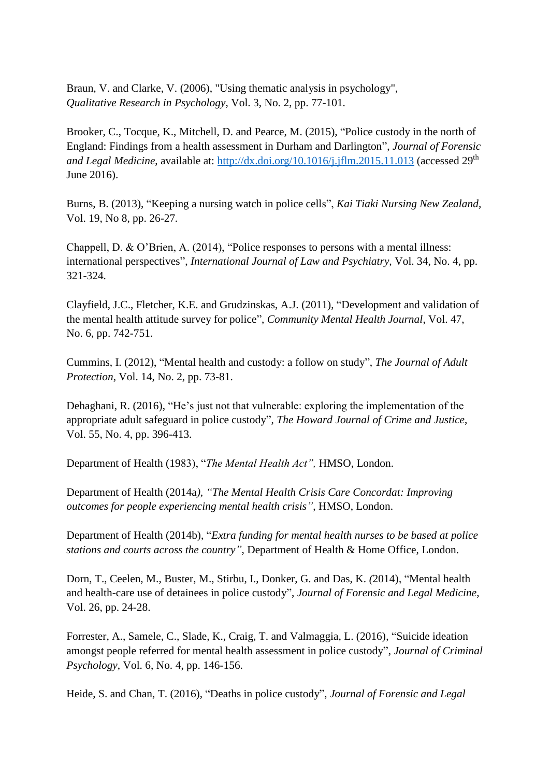Braun, V. and Clarke, V. (2006), "Using thematic analysis in psychology", *Qualitative Research in Psychology*, Vol. 3, No. 2, pp. 77-101.

Brooker, C., Tocque, K., Mitchell, D. and Pearce, M. (2015), "Police custody in the north of England: Findings from a health assessment in Durham and Darlington", *Journal of Forensic*  and Legal Medicine, available at:<http://dx.doi.org/10.1016/j.jflm.2015.11.013> (accessed 29<sup>th</sup> June 2016).

Burns, B. (2013), "Keeping a nursing watch in police cells", *Kai Tiaki Nursing New Zealand,* Vol. 19, No 8, pp. 26-27*.*

Chappell, D. & O'Brien, A. (2014), "Police responses to persons with a mental illness: international perspectives", *International Journal of Law and Psychiatry,* Vol. 34, No. 4, pp. 321-324.

Clayfield, J.C., Fletcher, K.E. and Grudzinskas, A.J. (2011), "Development and validation of the mental health attitude survey for police", *Community Mental Health Journal*, Vol. 47, No. 6, pp. 742-751.

Cummins, I. (2012), "Mental health and custody: a follow on study", *The Journal of Adult Protection*, Vol. 14, No. 2, pp. 73-81.

Dehaghani, R. (2016), "He's just not that vulnerable: exploring the implementation of the appropriate adult safeguard in police custody", *The Howard Journal of Crime and Justice*, Vol. 55, No. 4, pp. 396-413.

Department of Health (1983), "*The Mental Health Act",* HMSO, London.

Department of Health (2014a*), "The Mental Health Crisis Care Concordat: Improving outcomes for people experiencing mental health crisis"*, HMSO, London.

Department of Health (2014b), "*Extra funding for mental health nurses to be based at police stations and courts across the country"*, Department of Health & Home Office, London.

Dorn, T., Ceelen, M., Buster, M., Stirbu, I., Donker, G. and Das, K. *(*2014), "Mental health and health-care use of detainees in police custody", *Journal of Forensic and Legal Medicine*, Vol. 26, pp. 24-28.

Forrester, A., Samele, C., Slade, K., Craig, T. and Valmaggia, L. (2016), "Suicide ideation amongst people referred for mental health assessment in police custody", *Journal of Criminal Psychology*, Vol. 6, No. 4, pp. 146-156.

Heide, S. and Chan, T. (2016), "Deaths in police custody", *Journal of Forensic and Legal*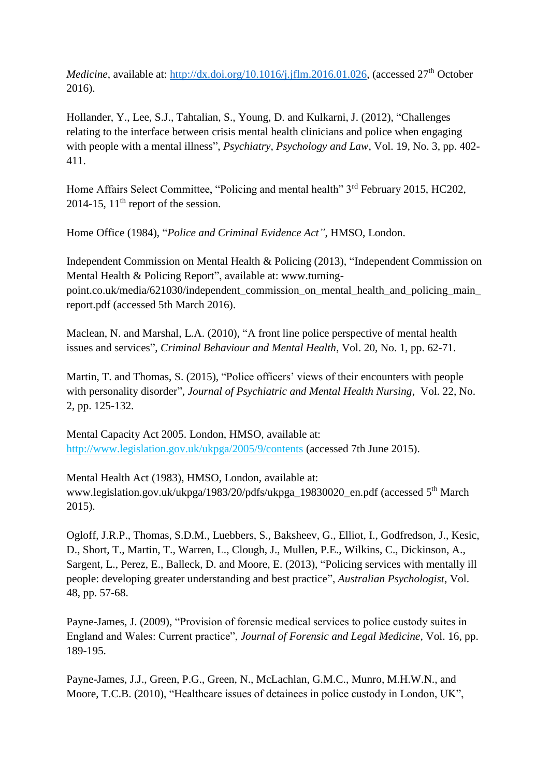*Medicine*, available at: [http://dx.doi.org/10.1016/j.jflm.2016.01.026,](http://dx.doi.org/10.1016/j.jflm.2016.01.026) (accessed 27<sup>th</sup> October 2016).

Hollander, Y., Lee, S.J., Tahtalian, S., Young, D. and Kulkarni, J. (2012), "Challenges relating to the interface between crisis mental health clinicians and police when engaging with people with a mental illness", *Psychiatry, Psychology and Law*, Vol. 19, No. 3, pp. 402- 411.

Home Affairs Select Committee, "Policing and mental health" 3<sup>rd</sup> February 2015, HC202, 2014-15,  $11<sup>th</sup>$  report of the session.

Home Office (1984), "*Police and Criminal Evidence Act"*, HMSO, London.

Independent Commission on Mental Health & Policing (2013), "Independent Commission on Mental Health & Policing Report", available at: www.turningpoint.co.uk/media/621030/independent\_commission\_on\_mental\_health\_and\_policing\_main\_ report.pdf (accessed 5th March 2016).

Maclean, N. and Marshal, L.A. (2010), "A front line police perspective of mental health issues and services", *Criminal Behaviour and Mental Health*, Vol. 20, No. 1, pp. 62-71.

Martin, T. and Thomas, S. (2015), "Police officers' views of their encounters with people with personality disorder", *Journal of Psychiatric and Mental Health Nursing*, Vol. 22, No. 2, pp. 125-132.

Mental Capacity Act 2005. London, HMSO, available at: <http://www.legislation.gov.uk/ukpga/2005/9/contents> (accessed 7th June 2015).

Mental Health Act (1983), HMSO, London, available at: [www.legislation.gov.uk/ukpga/1983/20/pdfs/ukpga\\_19830020\\_en.pdf](http://www.legislation.gov.uk/ukpga/1983/20/pdfs/ukpga_19830020_en.pdf) (accessed 5<sup>th</sup> March 2015).

Ogloff, J.R.P., Thomas, S.D.M., Luebbers, S., Baksheev, G., Elliot, I., Godfredson, J., Kesic, D., Short, T., Martin, T., Warren, L., Clough, J., Mullen, P.E., Wilkins, C., Dickinson, A., Sargent, L., Perez, E., Balleck, D. and Moore, E. (2013), "Policing services with mentally ill people: developing greater understanding and best practice", *Australian Psychologist*, Vol. 48, pp. 57-68.

Payne-James, J. (2009), "Provision of forensic medical services to police custody suites in England and Wales: Current practice", *Journal of Forensic and Legal Medicine*, Vol. 16, pp. 189-195.

Payne-James, J.J., Green, P.G., Green, N., McLachlan, G.M.C., Munro, M.H.W.N., and Moore, T.C.B. (2010), "Healthcare issues of detainees in police custody in London, UK",